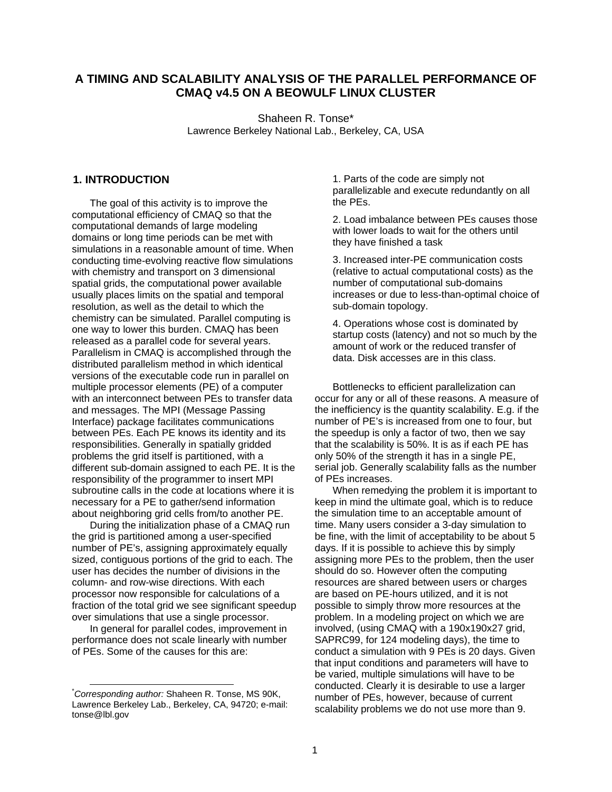# **A TIMING AND SCALABILITY ANALYSIS OF THE PARALLEL PERFORMANCE OF CMAQ v4.5 ON A BEOWULF LINUX CLUSTER**

Shaheen R. Tonse\* Lawrence Berkeley National Lab., Berkeley, CA, USA

### **1. INTRODUCTION**

The goal of this activity is to improve the computational efficiency of CMAQ so that the computational demands of large modeling domains or long time periods can be met with simulations in a reasonable amount of time. When conducting time-evolving reactive flow simulations with chemistry and transport on 3 dimensional spatial grids, the computational power available usually places limits on the spatial and temporal resolution, as well as the detail to which the chemistry can be simulated. Parallel computing is one way to lower this burden. CMAQ has been released as a parallel code for several years. Parallelism in CMAQ is accomplished through the distributed parallelism method in which identical versions of the executable code run in parallel on multiple processor elements (PE) of a computer with an interconnect between PEs to transfer data and messages. The MPI (Message Passing Interface) package facilitates communications between PEs. Each PE knows its identity and its responsibilities. Generally in spatially gridded problems the grid itself is partitioned, with a different sub-domain assigned to each PE. It is the responsibility of the programmer to insert MPI subroutine calls in the code at locations where it is necessary for a PE to gather/send information about neighboring grid cells from/to another PE.

During the initialization phase of a CMAQ run the grid is partitioned among a user-specified number of PE's, assigning approximately equally sized, contiguous portions of the grid to each. The user has decides the number of divisions in the column- and row-wise directions. With each processor now responsible for calculations of a fraction of the total grid we see significant speedup over simulations that use a single processor.

In general for parallel codes, improvement in performance does not scale linearly with number of PEs. Some of the causes for this are:

1. Parts of the code are simply not parallelizable and execute redundantly on all the PEs.

2. Load imbalance between PEs causes those with lower loads to wait for the others until they have finished a task

3. Increased inter-PE communication costs (relative to actual computational costs) as the number of computational sub-domains increases or due to less-than-optimal choice of sub-domain topology.

4. Operations whose cost is dominated by startup costs (latency) and not so much by the amount of work or the reduced transfer of data. Disk accesses are in this class.

Bottlenecks to efficient parallelization can occur for any or all of these reasons. A measure of the inefficiency is the quantity scalability. E.g. if the number of PE's is increased from one to four, but the speedup is only a factor of two, then we say that the scalability is 50%. It is as if each PE has only 50% of the strength it has in a single PE, serial job. Generally scalability falls as the number of PEs increases.

When remedying the problem it is important to keep in mind the ultimate goal, which is to reduce the simulation time to an acceptable amount of time. Many users consider a 3-day simulation to be fine, with the limit of acceptability to be about 5 days. If it is possible to achieve this by simply assigning more PEs to the problem, then the user should do so. However often the computing resources are shared between users or charges are based on PE-hours utilized, and it is not possible to simply throw more resources at the problem. In a modeling project on which we are involved, (using CMAQ with a 190x190x27 grid, SAPRC99, for 124 modeling days), the time to conduct a simulation with 9 PEs is 20 days. Given that input conditions and parameters will have to be varied, multiple simulations will have to be conducted. Clearly it is desirable to use a larger number of PEs, however, because of current scalability problems we do not use more than 9.

 <sup>\*</sup> *Corresponding author:* Shaheen R. Tonse, MS 90K, Lawrence Berkeley Lab., Berkeley, CA, 94720; e-mail: tonse@lbl.gov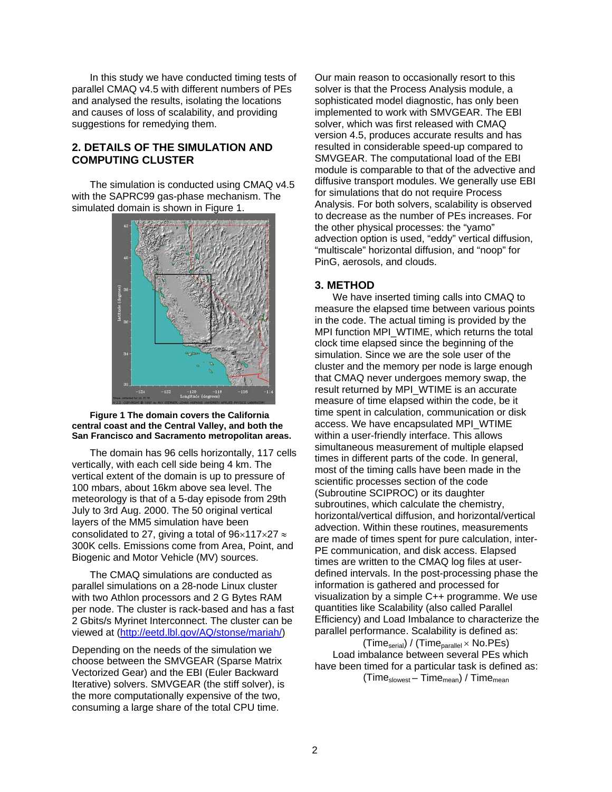In this study we have conducted timing tests of parallel CMAQ v4.5 with different numbers of PEs and analysed the results, isolating the locations and causes of loss of scalability, and providing suggestions for remedying them.

# **2. DETAILS OF THE SIMULATION AND COMPUTING CLUSTER**

The simulation is conducted using CMAQ v4.5 with the SAPRC99 gas-phase mechanism. The simulated domain is shown in Figure 1.



#### **Figure 1 The domain covers the California central coast and the Central Valley, and both the San Francisco and Sacramento metropolitan areas.**

The domain has 96 cells horizontally, 117 cells vertically, with each cell side being 4 km. The vertical extent of the domain is up to pressure of 100 mbars, about 16km above sea level. The meteorology is that of a 5-day episode from 29th July to 3rd Aug. 2000. The 50 original vertical layers of the MM5 simulation have been consolidated to 27, giving a total of  $96\times117\times27$   $\approx$ 300K cells. Emissions come from Area, Point, and Biogenic and Motor Vehicle (MV) sources.

The CMAQ simulations are conducted as parallel simulations on a 28-node Linux cluster with two Athlon processors and 2 G Bytes RAM per node. The cluster is rack-based and has a fast 2 Gbits/s Myrinet Interconnect. The cluster can be viewed at [\(http://eetd.lbl.gov/AQ/stonse/mariah/](http://eetd.lbl.gov/AQ/stonse/mariah/))

Depending on the needs of the simulation we choose between the SMVGEAR (Sparse Matrix Vectorized Gear) and the EBI (Euler Backward Iterative) solvers. SMVGEAR (the stiff solver), is the more computationally expensive of the two, consuming a large share of the total CPU time.

Our main reason to occasionally resort to this solver is that the Process Analysis module, a sophisticated model diagnostic, has only been implemented to work with SMVGEAR. The EBI solver, which was first released with CMAQ version 4.5, produces accurate results and has resulted in considerable speed-up compared to SMVGEAR. The computational load of the EBI module is comparable to that of the advective and diffusive transport modules. We generally use EBI for simulations that do not require Process Analysis. For both solvers, scalability is observed to decrease as the number of PEs increases. For the other physical processes: the "yamo" advection option is used, "eddy" vertical diffusion, "multiscale" horizontal diffusion, and "noop" for PinG, aerosols, and clouds.

### **3. METHOD**

We have inserted timing calls into CMAQ to measure the elapsed time between various points in the code. The actual timing is provided by the MPI function MPI\_WTIME, which returns the total clock time elapsed since the beginning of the simulation. Since we are the sole user of the cluster and the memory per node is large enough that CMAQ never undergoes memory swap, the result returned by MPI\_WTIME is an accurate measure of time elapsed within the code, be it time spent in calculation, communication or disk access. We have encapsulated MPI\_WTIME within a user-friendly interface. This allows simultaneous measurement of multiple elapsed times in different parts of the code. In general, most of the timing calls have been made in the scientific processes section of the code (Subroutine SCIPROC) or its daughter subroutines, which calculate the chemistry, horizontal/vertical diffusion, and horizontal/vertical advection. Within these routines, measurements are made of times spent for pure calculation, inter-PE communication, and disk access. Elapsed times are written to the CMAQ log files at userdefined intervals. In the post-processing phase the information is gathered and processed for visualization by a simple C++ programme. We use quantities like Scalability (also called Parallel Efficiency) and Load Imbalance to characterize the parallel performance. Scalability is defined as:

 $(Time<sub>serial</sub>) / (Time<sub>parallel</sub> × No.PEs)$ Load imbalance between several PEs which have been timed for a particular task is defined as:  $(Time_{\text{slowest}} - Time_{\text{mean}}) / Time_{\text{mean}}$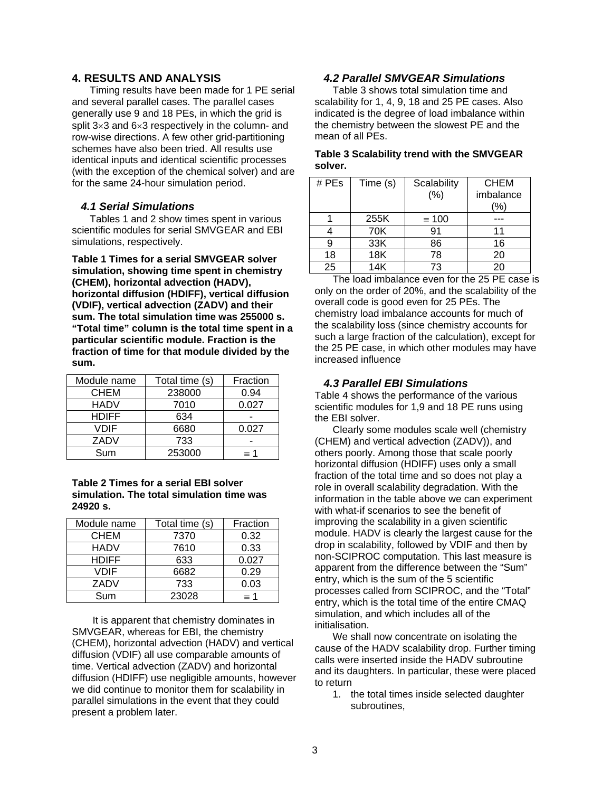### **4. RESULTS AND ANALYSIS**

Timing results have been made for 1 PE serial and several parallel cases. The parallel cases generally use 9 and 18 PEs, in which the grid is split 3×3 and 6×3 respectively in the column- and row-wise directions. A few other grid-partitioning schemes have also been tried. All results use identical inputs and identical scientific processes (with the exception of the chemical solver) and are for the same 24-hour simulation period.

### *4.1 Serial Simulations*

Tables 1 and 2 show times spent in various scientific modules for serial SMVGEAR and EBI simulations, respectively.

**Table 1 Times for a serial SMVGEAR solver simulation, showing time spent in chemistry (CHEM), horizontal advection (HADV), horizontal diffusion (HDIFF), vertical diffusion (VDIF), vertical advection (ZADV) and their sum. The total simulation time was 255000 s. "Total time" column is the total time spent in a particular scientific module. Fraction is the fraction of time for that module divided by the sum.** 

| Module name  | Total time (s) | Fraction   |
|--------------|----------------|------------|
| <b>CHEM</b>  | 238000         | 0.94       |
| HADV         | 7010           | 0.027      |
| <b>HDIFF</b> | 634            |            |
| VDIF         | 6680           | 0.027      |
| ZADV         | 733            |            |
| Sum          | 253000         | $\equiv$ 1 |

### **Table 2 Times for a serial EBI solver simulation. The total simulation time was 24920 s.**

| Module name  | Total time (s) | Fraction   |
|--------------|----------------|------------|
| <b>CHEM</b>  | 7370           | 0.32       |
| <b>HADV</b>  | 7610           | 0.33       |
| <b>HDIFF</b> | 633            | 0.027      |
| VDIF         | 6682           | 0.29       |
| ZADV         | 733            | 0.03       |
| Sum          | 23028          | $\equiv$ 1 |

 It is apparent that chemistry dominates in SMVGEAR, whereas for EBI, the chemistry (CHEM), horizontal advection (HADV) and vertical diffusion (VDIF) all use comparable amounts of time. Vertical advection (ZADV) and horizontal diffusion (HDIFF) use negligible amounts, however we did continue to monitor them for scalability in parallel simulations in the event that they could present a problem later.

# *4.2 Parallel SMVGEAR Simulations*

Table 3 shows total simulation time and scalability for 1, 4, 9, 18 and 25 PE cases. Also indicated is the degree of load imbalance within the chemistry between the slowest PE and the mean of all PEs.

### **Table 3 Scalability trend with the SMVGEAR solver.**

| # PEs | Time (s)          | Scalability  | <b>CHEM</b> |
|-------|-------------------|--------------|-------------|
|       |                   | (%)          | imbalance   |
|       |                   |              | (%)         |
|       | 255K              | $\equiv$ 100 |             |
|       | 70K               | 91           | 11          |
| 9     | 33K               | 86           | 16          |
| 18    | 18K               | 78           | 20          |
| 25    | 14K               | 73           | 20          |
|       | $\mathbf{r}$<br>. | . .          |             |

The load imbalance even for the 25 PE case is only on the order of 20%, and the scalability of the overall code is good even for 25 PEs. The chemistry load imbalance accounts for much of the scalability loss (since chemistry accounts for such a large fraction of the calculation), except for the 25 PE case, in which other modules may have increased influence

### *4.3 Parallel EBI Simulations*

Table 4 shows the performance of the various scientific modules for 1,9 and 18 PE runs using the EBI solver.

Clearly some modules scale well (chemistry (CHEM) and vertical advection (ZADV)), and others poorly. Among those that scale poorly horizontal diffusion (HDIFF) uses only a small fraction of the total time and so does not play a role in overall scalability degradation. With the information in the table above we can experiment with what-if scenarios to see the benefit of improving the scalability in a given scientific module. HADV is clearly the largest cause for the drop in scalability, followed by VDIF and then by non-SCIPROC computation. This last measure is apparent from the difference between the "Sum" entry, which is the sum of the 5 scientific processes called from SCIPROC, and the "Total" entry, which is the total time of the entire CMAQ simulation, and which includes all of the initialisation.

We shall now concentrate on isolating the cause of the HADV scalability drop. Further timing calls were inserted inside the HADV subroutine and its daughters. In particular, these were placed to return

1. the total times inside selected daughter subroutines,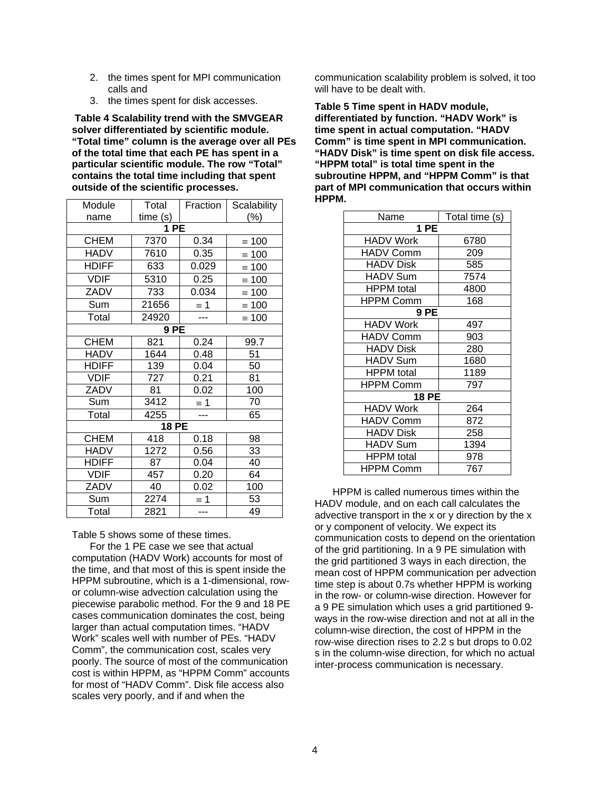- 2. the times spent for MPI communication calls and
- 3. the times spent for disk accesses.

 **Table 4 Scalability trend with the SMVGEAR solver differentiated by scientific module. "Total time" column is the average over all PEs of the total time that each PE has spent in a particular scientific module. The row "Total" contains the total time including that spent outside of the scientific processes.** 

| Module       | Total   | Fraction   | Scalability     |  |
|--------------|---------|------------|-----------------|--|
| name         | time(s) |            | (%)             |  |
|              | 1PE     |            |                 |  |
| <b>CHEM</b>  | 7370    | 0.34       | $\equiv 100$    |  |
| <b>HADV</b>  | 7610    | 0.35       | $\equiv 100$    |  |
| <b>HDIFF</b> | 633     | 0.029      | $\equiv 100$    |  |
| <b>VDIF</b>  | 5310    | 0.25       | $\equiv 100$    |  |
| ZADV         | 733     | 0.034      | $\equiv 100$    |  |
| Sum          | 21656   | $\equiv$ 1 | $\equiv 100$    |  |
| Total        | 24920   |            | $\equiv 100$    |  |
|              | 9 PE    |            |                 |  |
| <b>CHEM</b>  | 821     | 0.24       | 99.7            |  |
| <b>HADV</b>  | 1644    | 0.48       | 51              |  |
| <b>HDIFF</b> | 139     | 0.04       | 50              |  |
| <b>VDIF</b>  | 727     | 0.21       | 81              |  |
| ZADV         | 81      | 0.02       | 100             |  |
| Sum          | 3412    | $\equiv$ 1 | $\overline{70}$ |  |
| Total        | 4255    |            | 65              |  |
| $18$ PE      |         |            |                 |  |
| <b>CHEM</b>  | 418     | 0.18       | 98              |  |
| <b>HADV</b>  | 1272    | 0.56       | 33              |  |
| <b>HDIFF</b> | 87      | 0.04       | 40              |  |
| <b>VDIF</b>  | 457     | 0.20       | 64              |  |
| ZADV         | 40      | 0.02       | 100             |  |
| Sum          | 2274    | $\equiv$ 1 | 53              |  |
| Total        | 2821    | $---$      | 49              |  |

Table 5 shows some of these times.

For the 1 PE case we see that actual computation (HADV Work) accounts for most of the time, and that most of this is spent inside the HPPM subroutine, which is a 1-dimensional, rowor column-wise advection calculation using the piecewise parabolic method. For the 9 and 18 PE cases communication dominates the cost, being larger than actual computation times. "HADV Work" scales well with number of PEs. "HADV Comm", the communication cost, scales very poorly. The source of most of the communication cost is within HPPM, as "HPPM Comm" accounts for most of "HADV Comm". Disk file access also scales very poorly, and if and when the

communication scalability problem is solved, it too will have to be dealt with.

**Table 5 Time spent in HADV module, differentiated by function. "HADV Work" is time spent in actual computation. "HADV Comm" is time spent in MPI communication. "HADV Disk" is time spent on disk file access. "HPPM total" is total time spent in the subroutine HPPM, and "HPPM Comm" is that part of MPI communication that occurs within HPPM.** 

| Name              | Total time (s) |  |  |  |
|-------------------|----------------|--|--|--|
| 1 PE              |                |  |  |  |
| <b>HADV Work</b>  | 6780           |  |  |  |
| <b>HADV Comm</b>  | 209            |  |  |  |
| <b>HADV Disk</b>  | 585            |  |  |  |
| <b>HADV Sum</b>   | 7574           |  |  |  |
| <b>HPPM</b> total | 4800           |  |  |  |
| <b>HPPM Comm</b>  | 168            |  |  |  |
| 9 PE              |                |  |  |  |
| <b>HADV</b> Work  | 497            |  |  |  |
| <b>HADV Comm</b>  | 903            |  |  |  |
| <b>HADV Disk</b>  | 280            |  |  |  |
| <b>HADV Sum</b>   | 1680           |  |  |  |
| <b>HPPM</b> total | 1189           |  |  |  |
| <b>HPPM Comm</b>  | 797            |  |  |  |
| <b>18 PE</b>      |                |  |  |  |
| HADV Work         | 264            |  |  |  |
| <b>HADV Comm</b>  | 872            |  |  |  |
| <b>HADV Disk</b>  | 258            |  |  |  |
| <b>HADV Sum</b>   | 1394           |  |  |  |
| <b>HPPM</b> total | 978            |  |  |  |
| <b>HPPM Comm</b>  | 767            |  |  |  |

HPPM is called numerous times within the HADV module, and on each call calculates the advective transport in the x or y direction by the x or y component of velocity. We expect its communication costs to depend on the orientation of the grid partitioning. In a 9 PE simulation with the grid partitioned 3 ways in each direction, the mean cost of HPPM communication per advection time step is about 0.7s whether HPPM is working in the row- or column-wise direction. However for a 9 PE simulation which uses a grid partitioned 9 ways in the row-wise direction and not at all in the column-wise direction, the cost of HPPM in the row-wise direction rises to 2.2 s but drops to 0.02 s in the column-wise direction, for which no actual inter-process communication is necessary.